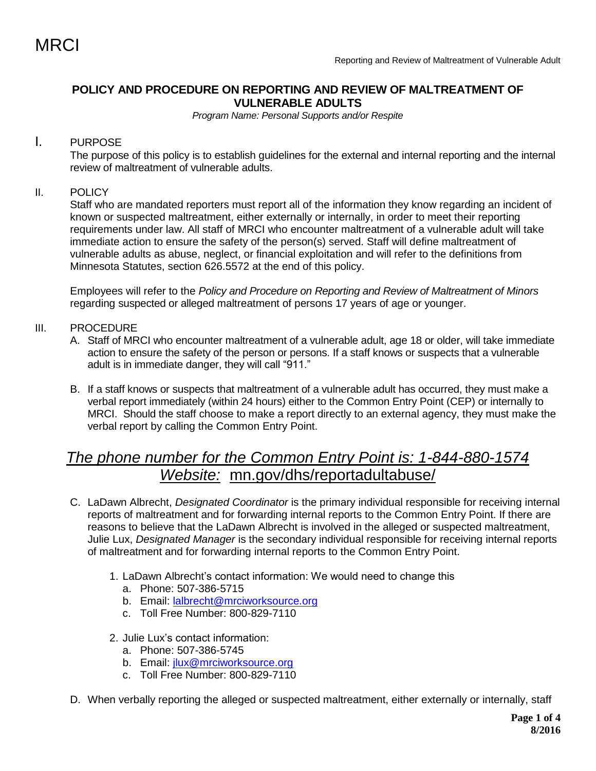# **POLICY AND PROCEDURE ON REPORTING AND REVIEW OF MALTREATMENT OF VULNERABLE ADULTS**

*Program Name: Personal Supports and/or Respite*

# I. PURPOSE

The purpose of this policy is to establish guidelines for the external and internal reporting and the internal review of maltreatment of vulnerable adults.

## II. POLICY

Staff who are mandated reporters must report all of the information they know regarding an incident of known or suspected maltreatment, either externally or internally, in order to meet their reporting requirements under law. All staff of MRCI who encounter maltreatment of a vulnerable adult will take immediate action to ensure the safety of the person(s) served. Staff will define maltreatment of vulnerable adults as abuse, neglect, or financial exploitation and will refer to the definitions from Minnesota Statutes, section 626.5572 at the end of this policy.

Employees will refer to the *Policy and Procedure on Reporting and Review of Maltreatment of Minors* regarding suspected or alleged maltreatment of persons 17 years of age or younger.

#### III. PROCEDURE

- A. Staff of MRCI who encounter maltreatment of a vulnerable adult, age 18 or older, will take immediate action to ensure the safety of the person or persons. If a staff knows or suspects that a vulnerable adult is in immediate danger, they will call "911."
- B. If a staff knows or suspects that maltreatment of a vulnerable adult has occurred, they must make a verbal report immediately (within 24 hours) either to the Common Entry Point (CEP) or internally to MRCI. Should the staff choose to make a report directly to an external agency, they must make the verbal report by calling the Common Entry Point.

# *The phone number for the Common Entry Point is: 1-844-880-1574 Website:* [mn.gov/dhs/reportadultabuse/](http://edocs.dhs.state.mn.us/lfserver/Public/DHS-6303-ENG)

- C. LaDawn Albrecht, *Designated Coordinator* is the primary individual responsible for receiving internal reports of maltreatment and for forwarding internal reports to the Common Entry Point. If there are reasons to believe that the LaDawn Albrecht is involved in the alleged or suspected maltreatment, Julie Lux, *Designated Manager* is the secondary individual responsible for receiving internal reports of maltreatment and for forwarding internal reports to the Common Entry Point.
	- 1. LaDawn Albrecht's contact information: We would need to change this
		- a. Phone: 507-386-5715
		- b. Email: [lalbrecht@mrciworksource.org](mailto:lalbrecht@mrciworksource.org)
		- c. Toll Free Number: 800-829-7110
	- 2. Julie Lux's contact information:
		- a. Phone: 507-386-5745
		- b. Email: [jlux@mrciworksource.org](mailto:jlux@mrciworksource.org)
		- c. Toll Free Number: 800-829-7110
- D. When verbally reporting the alleged or suspected maltreatment, either externally or internally, staff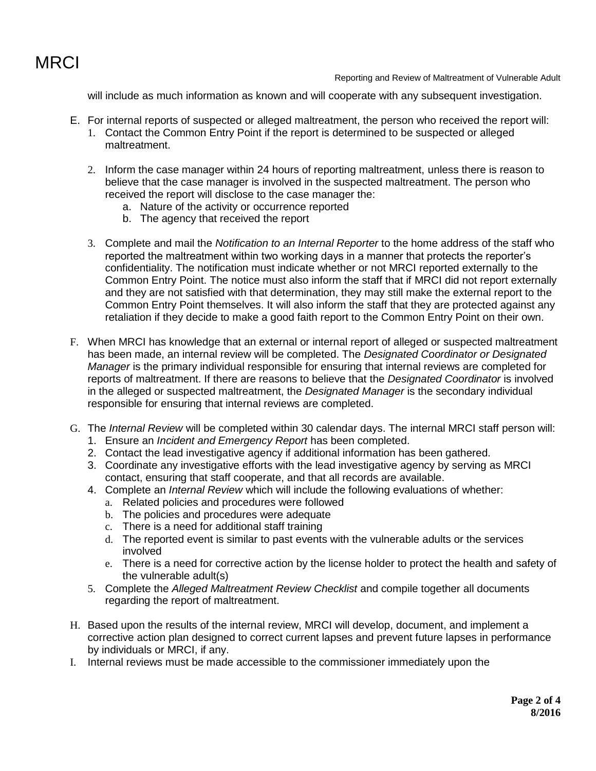

Reporting and Review of Maltreatment of Vulnerable Adult

will include as much information as known and will cooperate with any subsequent investigation.

- E. For internal reports of suspected or alleged maltreatment, the person who received the report will:
	- 1. Contact the Common Entry Point if the report is determined to be suspected or alleged maltreatment.
	- 2. Inform the case manager within 24 hours of reporting maltreatment, unless there is reason to believe that the case manager is involved in the suspected maltreatment. The person who received the report will disclose to the case manager the:
		- a. Nature of the activity or occurrence reported
		- b. The agency that received the report
	- 3. Complete and mail the *Notification to an Internal Reporter* to the home address of the staff who reported the maltreatment within two working days in a manner that protects the reporter's confidentiality. The notification must indicate whether or not MRCI reported externally to the Common Entry Point. The notice must also inform the staff that if MRCI did not report externally and they are not satisfied with that determination, they may still make the external report to the Common Entry Point themselves. It will also inform the staff that they are protected against any retaliation if they decide to make a good faith report to the Common Entry Point on their own.
- F. When MRCI has knowledge that an external or internal report of alleged or suspected maltreatment has been made, an internal review will be completed. The *Designated Coordinator or Designated Manager* is the primary individual responsible for ensuring that internal reviews are completed for reports of maltreatment. If there are reasons to believe that the *Designated Coordinator* is involved in the alleged or suspected maltreatment, the *Designated Manager* is the secondary individual responsible for ensuring that internal reviews are completed.
- G. The *Internal Review* will be completed within 30 calendar days. The internal MRCI staff person will:
	- 1. Ensure an *Incident and Emergency Report* has been completed.
	- 2. Contact the lead investigative agency if additional information has been gathered.
	- 3. Coordinate any investigative efforts with the lead investigative agency by serving as MRCI contact, ensuring that staff cooperate, and that all records are available.
	- 4. Complete an *Internal Review* which will include the following evaluations of whether:
		- a. Related policies and procedures were followed
		- b. The policies and procedures were adequate
		- c. There is a need for additional staff training
		- d. The reported event is similar to past events with the vulnerable adults or the services involved
		- e. There is a need for corrective action by the license holder to protect the health and safety of the vulnerable adult(s)
	- 5. Complete the *Alleged Maltreatment Review Checklist* and compile together all documents regarding the report of maltreatment.
- H. Based upon the results of the internal review, MRCI will develop, document, and implement a corrective action plan designed to correct current lapses and prevent future lapses in performance by individuals or MRCI, if any.
- I. Internal reviews must be made accessible to the commissioner immediately upon the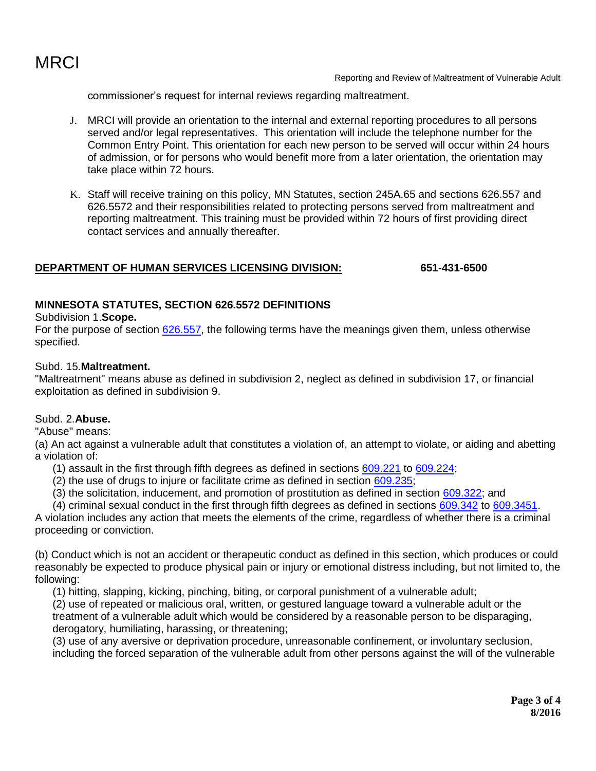

Reporting and Review of Maltreatment of Vulnerable Adult

commissioner's request for internal reviews regarding maltreatment.

- J. MRCI will provide an orientation to the internal and external reporting procedures to all persons served and/or legal representatives. This orientation will include the telephone number for the Common Entry Point. This orientation for each new person to be served will occur within 24 hours of admission, or for persons who would benefit more from a later orientation, the orientation may take place within 72 hours.
- K. Staff will receive training on this policy, MN Statutes, section 245A.65 and sections 626.557 and 626.5572 and their responsibilities related to protecting persons served from maltreatment and reporting maltreatment. This training must be provided within 72 hours of first providing direct contact services and annually thereafter.

## **DEPARTMENT OF HUMAN SERVICES LICENSING DIVISION: 651-431-6500**

## **MINNESOTA STATUTES, SECTION 626.5572 DEFINITIONS**

#### Subdivision 1.**Scope.**

For the purpose of section [626.557,](https://www.revisor.mn.gov/statutes?id=626.557#stat.626.557) the following terms have the meanings given them, unless otherwise specified.

#### Subd. 15.**Maltreatment.**

"Maltreatment" means abuse as defined in subdivision 2, neglect as defined in subdivision 17, or financial exploitation as defined in subdivision 9.

## Subd. 2.**Abuse.**

"Abuse" means:

(a) An act against a vulnerable adult that constitutes a violation of, an attempt to violate, or aiding and abetting a violation of:

- (1) assault in the first through fifth degrees as defined in sections [609.221](https://www.revisor.mn.gov/statutes?id=609.221#stat.609.221) to [609.224;](https://www.revisor.mn.gov/statutes?id=609.224#stat.609.224)
- (2) the use of drugs to injure or facilitate crime as defined in section [609.235;](https://www.revisor.mn.gov/statutes?id=609.235#stat.609.235)
- (3) the solicitation, inducement, and promotion of prostitution as defined in section [609.322;](https://www.revisor.mn.gov/statutes?id=609.322#stat.609.322) and
- (4) criminal sexual conduct in the first through fifth degrees as defined in sections [609.342](https://www.revisor.mn.gov/statutes?id=609.342#stat.609.342) to [609.3451.](https://www.revisor.mn.gov/statutes?id=609.3451#stat.609.3451)

A violation includes any action that meets the elements of the crime, regardless of whether there is a criminal proceeding or conviction.

(b) Conduct which is not an accident or therapeutic conduct as defined in this section, which produces or could reasonably be expected to produce physical pain or injury or emotional distress including, but not limited to, the following:

(1) hitting, slapping, kicking, pinching, biting, or corporal punishment of a vulnerable adult;

(2) use of repeated or malicious oral, written, or gestured language toward a vulnerable adult or the treatment of a vulnerable adult which would be considered by a reasonable person to be disparaging, derogatory, humiliating, harassing, or threatening;

(3) use of any aversive or deprivation procedure, unreasonable confinement, or involuntary seclusion, including the forced separation of the vulnerable adult from other persons against the will of the vulnerable